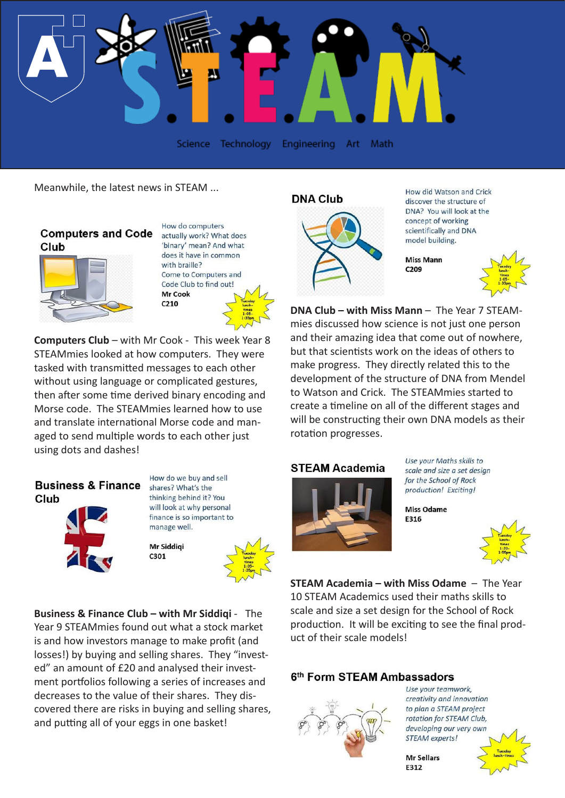

Meanwhile, the latest news in STEAM ...

### **Computers and Code** Club



How do computers actually work? What does 'binary' mean? And what does it have in common with braille? Come to Computers and Code Club to find out! **Mr Cook**  $C<sub>210</sub>$ 

**Computers Club** – with Mr Cook - This week Year 8 STEAMmies looked at how computers. They were tasked with transmitted messages to each other without using language or complicated gestures, then after some time derived binary encoding and Morse code. The STEAMmies learned how to use and translate international Morse code and managed to send multiple words to each other just using dots and dashes!

# **Business & Finance** Club



How do we buy and sell shares? What's the thinking behind it? You will look at why personal finance is so important to manage well.

Mr Siddiai C301



**Business & Finance Club – with Mr Siddiqi** - The Year 9 STEAMmies found out what a stock market is and how investors manage to make profit (and losses!) by buying and selling shares. They "invested" an amount of £20 and analysed their investment portfolios following a series of increases and decreases to the value of their shares. They discovered there are risks in buying and selling shares, and putting all of your eggs in one basket!

#### **DNA Club**



How did Watson and Crick discover the structure of DNA? You will look at the concept of working scientifically and DNA model building.

**Miss Mann** C209



**DNA Club – with Miss Mann** – The Year 7 STEAMmies discussed how science is not just one person and their amazing idea that come out of nowhere, but that scientists work on the ideas of others to make progress. They directly related this to the development of the structure of DNA from Mendel to Watson and Crick. The STEAMmies started to create a timeline on all of the different stages and will be constructing their own DNA models as their rotation progresses.

### **STEAM Academia**



Use your Maths skills to scale and size a set design for the School of Rock production! Exciting!

Miss Odame

F316



**STEAM Academia – with Miss Odame** – The Year 10 STEAM Academics used their maths skills to scale and size a set design for the School of Rock production. It will be exciting to see the final product of their scale models!

## 6th Form STEAM Ambassadors



Use your teamwork, creativity and innovation to plan a STEAM project rotation for STEAM Club, developing our very own STEAM experts!

**Mr Sellars F312** 

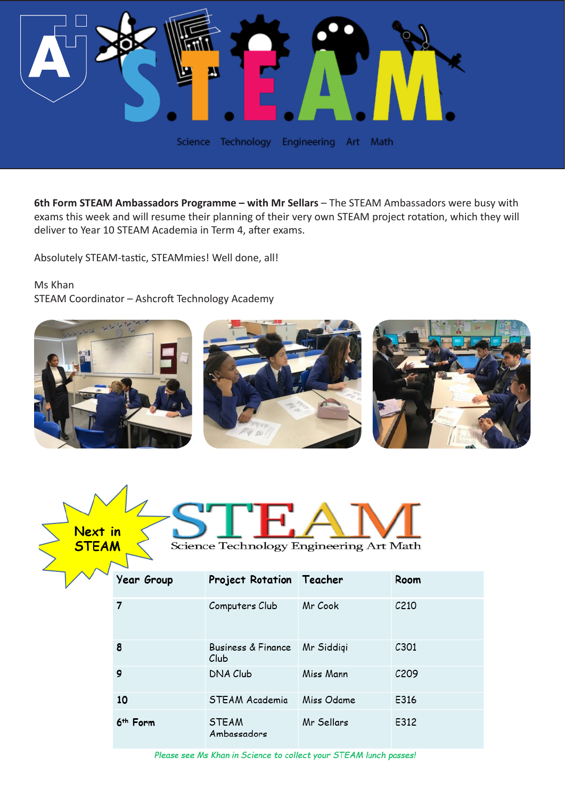

6th Form STEAM Ambassadors Programme - with Mr Sellars - The STEAM Ambassadors were busy with exams this week and will resume their planning of their very own STEAM project rotation, which they will deliver to Year 10 STEAM Academia in Term 4, after exams.

Absolutely STEAM-tastic, STEAMmies! Well done, all!

Ms Khan

STEAM Coordinator – Ashcroft Technology Academy





| Year Group           | Project Rotation Teacher              |            | Room              |
|----------------------|---------------------------------------|------------|-------------------|
| 7                    | Computers Club                        | Mr Cook    | C <sub>210</sub>  |
| 8                    | <b>Business &amp; Finance</b><br>Club | Mr Siddigi | C <sub>301</sub>  |
| 9                    | DNA Club                              | Miss Mann  | C <sub>2</sub> 09 |
| 10                   | STEAM Academia                        | Miss Odame | E316              |
| 6 <sup>th</sup> Form | <b>STEAM</b><br>Ambassadors           | Mr Sellars | E312              |

Please see Ms Khan in Science to collect your STEAM lunch passes!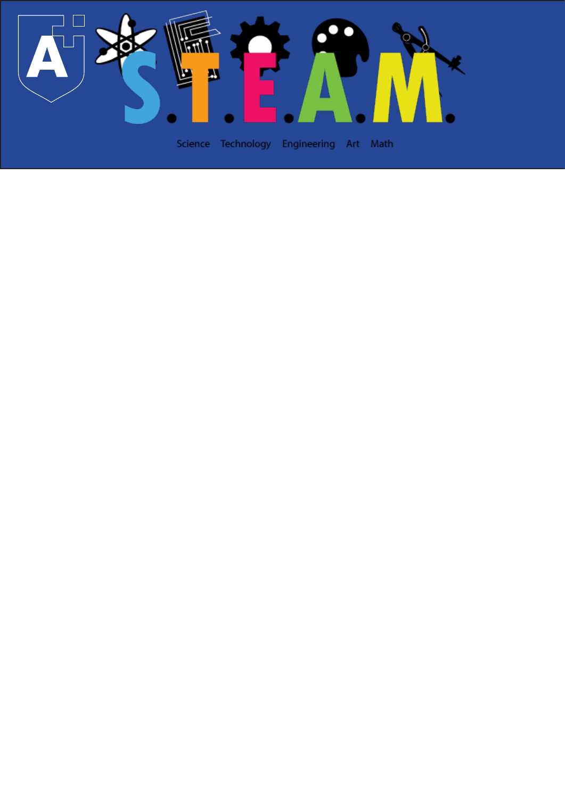